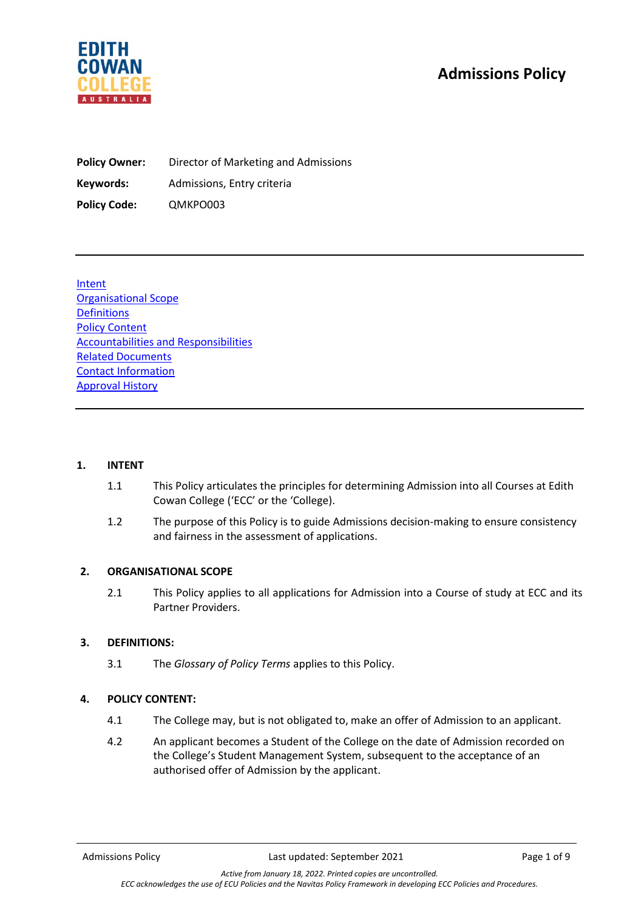# **Admissions Policy**



**Policy Owner:** Director of Marketing and Admissions **Keywords:** Admissions, Entry criteria **Policy Code:** QMKPO003

Intent Organisational Scope Definitions Policy Content Accountabilities and Responsibilities Related Documents Contact Information Approval History

#### **1. INTENT**

- 1.1 This Policy articulates the principles for determining Admission into all Courses at Edith Cowan College ('ECC' or the 'College).
- 1.2 The purpose of this Policy is to guide Admissions decision-making to ensure consistency and fairness in the assessment of applications.

#### **2. ORGANISATIONAL SCOPE**

2.1 This Policy applies to all applications for Admission into a Course of study at ECC and its Partner Providers.

# **3. DEFINITIONS:**

3.1 The *Glossary of Policy Terms* applies to this Policy.

# **4. POLICY CONTENT:**

- 4.1 The College may, but is not obligated to, make an offer of Admission to an applicant.
- 4.2 An applicant becomes a Student of the College on the date of Admission recorded on the College's Student Management System, subsequent to the acceptance of an authorised offer of Admission by the applicant.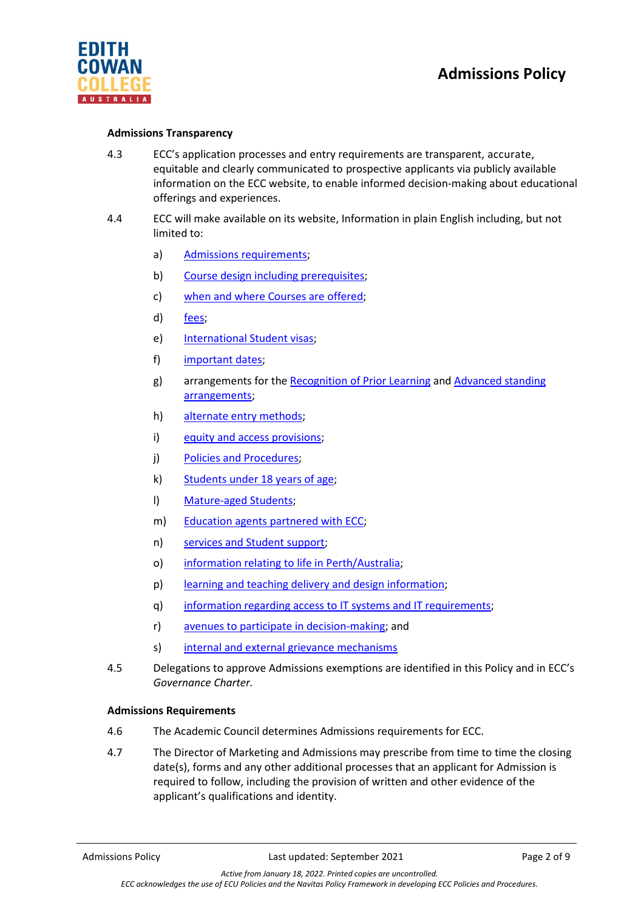

## **Admissions Transparency**

- 4.3 ECC's application processes and entry requirements are transparent, accurate, equitable and clearly communicated to prospective applicants via publicly available information on the ECC website, to enable informed decision-making about educational offerings and experiences.
- 4.4 ECC will make available on its website, Information in plain English including, but not limited to:
	- a) [Admissions requirements;](https://www.edithcowancollege.edu.au/apply)
	- b) Course [design including prerequisites;](https://www.edithcowancollege.edu.au/programs/diploma-of-communications-and-creative-industries)
	- c) [when and where Courses are offered;](https://www.edithcowancollege.edu.au/important-dates)
	- d) [fees;](https://www.edithcowancollege.edu.au/fees)
	- e) [International Student visas;](https://www.edithcowancollege.edu.au/international-students-visas)
	- f) [important dates;](https://www.edithcowancollege.edu.au/important-dates)
	- g) arrangements for the [Recognition of Prior Learning](https://www.edithcowancollege.edu.au/exemptions) and [Advanced standing](https://www.edithcowancollege.edu.au/exemptions)  [arrangements;](https://www.edithcowancollege.edu.au/exemptions)
	- h) [alternate entry methods;](https://www.edithcowancollege.edu.au/alternative-entry-pathways)
	- i) [equity and access provisions;](https://www.edithcowancollege.edu.au/policies)
	- j) [Policies and Procedures;](https://www.edithcowancollege.edu.au/policies)
	- k) [Students under 18 years of age;](https://www.edithcowancollege.edu.au/under-18)
	- l) [Mature-aged Students;](https://www.edithcowancollege.edu.au/important-dates)
	- m) [Education agents partnered with ECC;](https://www.edithcowancollege.edu.au/representatives)
	- n) [services and Student support;](https://www.edithcowancollege.edu.au/student-services)
	- o) [information relating to life in Perth/Australia;](https://www.edithcowancollege.edu.au/locations/Perth)
	- p) [learning and teaching delivery and design information;](https://www.edithcowancollege.edu.au/programs/diploma-of-commerce)
	- q) [information regarding access to IT systems and IT requirements;](https://www.edithcowancollege.edu.au/faqs)
	- r) [avenues to participate in decision-making;](https://www.edithcowancollege.edu.au/documents-and-forms) and
	- s) [internal and external grievance mechanisms](https://www.edithcowancollege.edu.au/policies)
- 4.5 Delegations to approve Admissions exemptions are identified in this Policy and in ECC's *Governance Charter.*

#### **Admissions Requirements**

- 4.6 The Academic Council determines Admissions requirements for ECC.
- 4.7 The Director of Marketing and Admissions may prescribe from time to time the closing date(s), forms and any other additional processes that an applicant for Admission is required to follow, including the provision of written and other evidence of the applicant's qualifications and identity.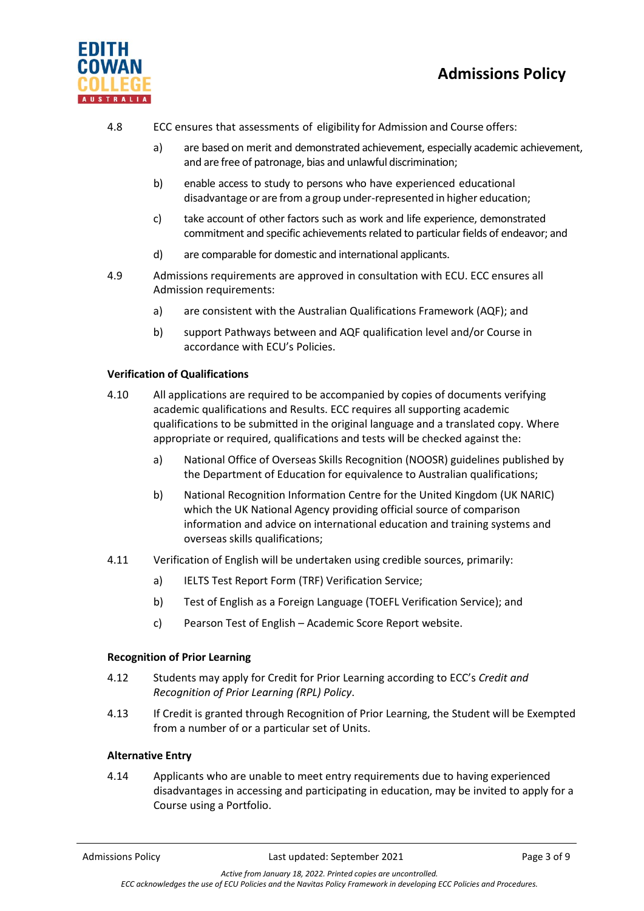



- 4.8 ECC ensures that assessments of eligibility for Admission and Course offers:
	- a) are based on merit and demonstrated achievement, especially academic achievement, and are free of patronage, bias and unlawful discrimination;
	- b) enable access to study to persons who have experienced educational disadvantage or are from a group under-represented in higher education;
	- c) take account of other factors such as work and life experience, demonstrated commitment and specific achievements related to particular fields of endeavor; and
	- d) are comparable for domestic and international applicants.
- 4.9 Admissions requirements are approved in consultation with ECU. ECC ensures all Admission requirements:
	- a) are consistent with the Australian Qualifications Framework (AQF); and
	- b) support Pathways between and AQF qualification level and/or Course in accordance with ECU's Policies.

## **Verification of Qualifications**

- 4.10 All applications are required to be accompanied by copies of documents verifying academic qualifications and Results. ECC requires all supporting academic qualifications to be submitted in the original language and a translated copy. Where appropriate or required, qualifications and tests will be checked against the:
	- a) National Office of Overseas Skills Recognition (NOOSR) guidelines published by the Department of Education for equivalence to Australian qualifications;
	- b) National Recognition Information Centre for the United Kingdom (UK NARIC) which the UK National Agency providing official source of comparison information and advice on international education and training systems and overseas skills qualifications;
- 4.11 Verification of English will be undertaken using credible sources, primarily:
	- a) IELTS Test Report Form (TRF) Verification Service;
	- b) Test of English as a Foreign Language (TOEFL Verification Service); and
	- c) Pearson Test of English Academic Score Report website.

#### **Recognition of Prior Learning**

- 4.12 Students may apply for Credit for Prior Learning according to ECC's *Credit and Recognition of Prior Learning (RPL) Policy*.
- 4.13 If Credit is granted through Recognition of Prior Learning, the Student will be Exempted from a number of or a particular set of Units.

#### **Alternative Entry**

4.14 Applicants who are unable to meet entry requirements due to having experienced disadvantages in accessing and participating in education, may be invited to apply for a Course using a Portfolio.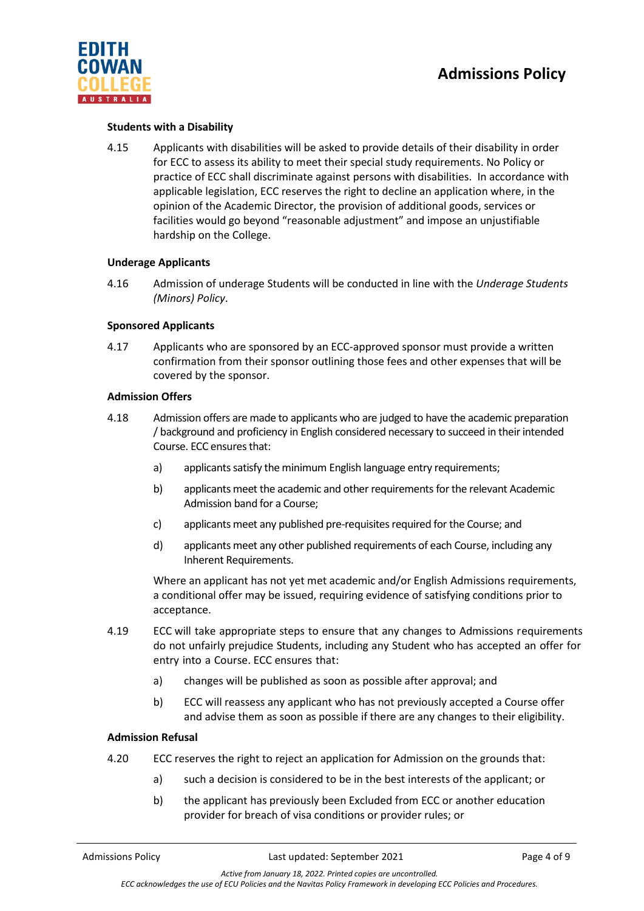

# **Students with a Disability**

4.15 Applicants with disabilities will be asked to provide details of their disability in order for ECC to assess its ability to meet their special study requirements. No Policy or practice of ECC shall discriminate against persons with disabilities. In accordance with applicable legislation, ECC reserves the right to decline an application where, in the opinion of the Academic Director, the provision of additional goods, services or facilities would go beyond "reasonable adjustment" and impose an unjustifiable hardship on the College.

#### **Underage Applicants**

4.16 Admission of underage Students will be conducted in line with the *Underage Students (Minors) Policy*.

## **Sponsored Applicants**

4.17 Applicants who are sponsored by an ECC-approved sponsor must provide a written confirmation from their sponsor outlining those fees and other expenses that will be covered by the sponsor.

#### **Admission Offers**

- 4.18 Admission offers are made to applicants who are judged to have the academic preparation / background and proficiency in English considered necessary to succeed in their intended Course. ECC ensures that:
	- a) applicants satisfy the minimum English language entry requirements;
	- b) applicants meet the academic and other requirementsfor the relevant Academic Admission band for a Course;
	- c) applicants meet any published pre-requisites required for the Course; and
	- d) applicants meet any other published requirements of each Course, including any Inherent Requirements.

Where an applicant has not yet met academic and/or English Admissions requirements, a conditional offer may be issued, requiring evidence of satisfying conditions prior to acceptance.

- 4.19 ECC will take appropriate steps to ensure that any changes to Admissions requirements do not unfairly prejudice Students, including any Student who has accepted an offer for entry into a Course. ECC ensures that:
	- a) changes will be published as soon as possible after approval; and
	- b) ECC will reassess any applicant who has not previously accepted a Course offer and advise them as soon as possible if there are any changes to their eligibility.

#### **Admission Refusal**

- 4.20 ECC reserves the right to reject an application for Admission on the grounds that:
	- a) such a decision is considered to be in the best interests of the applicant; or
	- b) the applicant has previously been Excluded from ECC or another education provider for breach of visa conditions or provider rules; or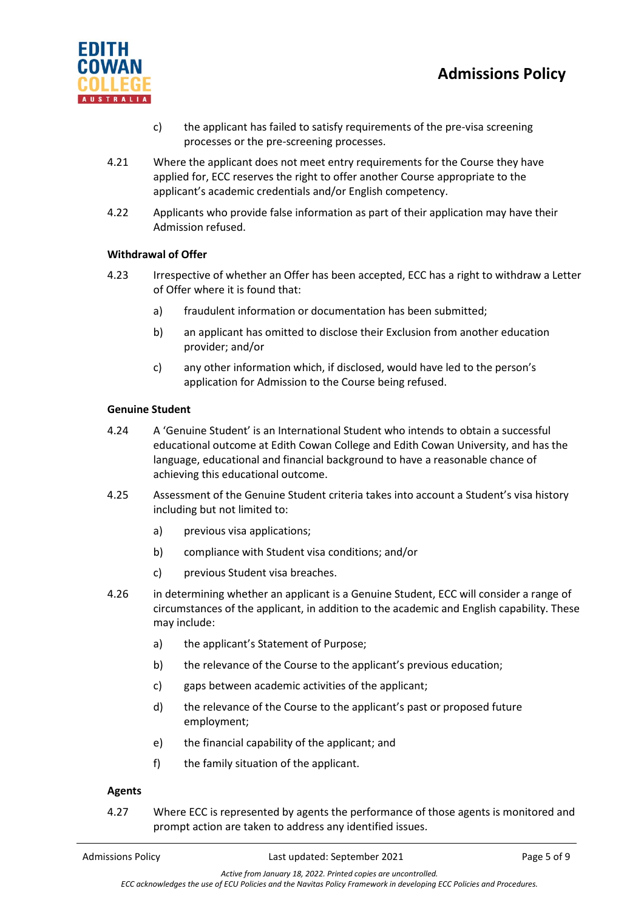

- c) the applicant has failed to satisfy requirements of the pre-visa screening processes or the pre-screening processes.
- 4.21 Where the applicant does not meet entry requirements for the Course they have applied for, ECC reserves the right to offer another Course appropriate to the applicant's academic credentials and/or English competency.
- 4.22 Applicants who provide false information as part of their application may have their Admission refused.

# **Withdrawal of Offer**

- 4.23 Irrespective of whether an Offer has been accepted, ECC has a right to withdraw a Letter of Offer where it is found that:
	- a) fraudulent information or documentation has been submitted;
	- b) an applicant has omitted to disclose their Exclusion from another education provider; and/or
	- c) any other information which, if disclosed, would have led to the person's application for Admission to the Course being refused.

#### **Genuine Student**

- 4.24 A 'Genuine Student' is an International Student who intends to obtain a successful educational outcome at Edith Cowan College and Edith Cowan University, and has the language, educational and financial background to have a reasonable chance of achieving this educational outcome.
- 4.25 Assessment of the Genuine Student criteria takes into account a Student's visa history including but not limited to:
	- a) previous visa applications;
	- b) compliance with Student visa conditions; and/or
	- c) previous Student visa breaches.
- 4.26 in determining whether an applicant is a Genuine Student, ECC will consider a range of circumstances of the applicant, in addition to the academic and English capability. These may include:
	- a) the applicant's Statement of Purpose;
	- b) the relevance of the Course to the applicant's previous education;
	- c) gaps between academic activities of the applicant;
	- d) the relevance of the Course to the applicant's past or proposed future employment;
	- e) the financial capability of the applicant; and
	- f) the family situation of the applicant.

#### **Agents**

4.27 Where ECC is represented by agents the performance of those agents is monitored and prompt action are taken to address any identified issues.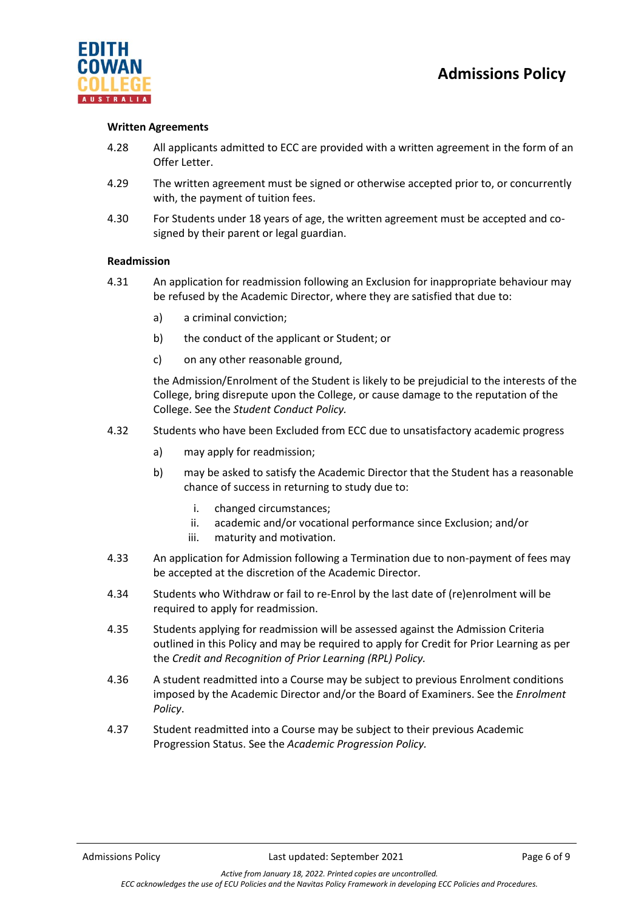



#### **Written Agreements**

- 4.28 All applicants admitted to ECC are provided with a written agreement in the form of an Offer Letter.
- 4.29 The written agreement must be signed or otherwise accepted prior to, or concurrently with, the payment of tuition fees.
- 4.30 For Students under 18 years of age, the written agreement must be accepted and cosigned by their parent or legal guardian.

#### **Readmission**

- 4.31 An application for readmission following an Exclusion for inappropriate behaviour may be refused by the Academic Director, where they are satisfied that due to:
	- a) a criminal conviction;
	- b) the conduct of the applicant or Student; or
	- c) on any other reasonable ground,

the Admission/Enrolment of the Student is likely to be prejudicial to the interests of the College, bring disrepute upon the College, or cause damage to the reputation of the College. See the *Student Conduct Policy.*

- 4.32 Students who have been Excluded from ECC due to unsatisfactory academic progress
	- a) may apply for readmission;
	- b) may be asked to satisfy the Academic Director that the Student has a reasonable chance of success in returning to study due to:
		- i. changed circumstances;
		- ii. academic and/or vocational performance since Exclusion; and/or
		- iii. maturity and motivation.
- 4.33 An application for Admission following a Termination due to non-payment of fees may be accepted at the discretion of the Academic Director.
- 4.34 Students who Withdraw or fail to re-Enrol by the last date of (re)enrolment will be required to apply for readmission.
- 4.35 Students applying for readmission will be assessed against the Admission Criteria outlined in this Policy and may be required to apply for Credit for Prior Learning as per the *Credit and Recognition of Prior Learning (RPL) Policy.*
- 4.36 A student readmitted into a Course may be subject to previous Enrolment conditions imposed by the Academic Director and/or the Board of Examiners. See the *Enrolment Policy*.
- 4.37 Student readmitted into a Course may be subject to their previous Academic Progression Status. See the *Academic Progression Policy.*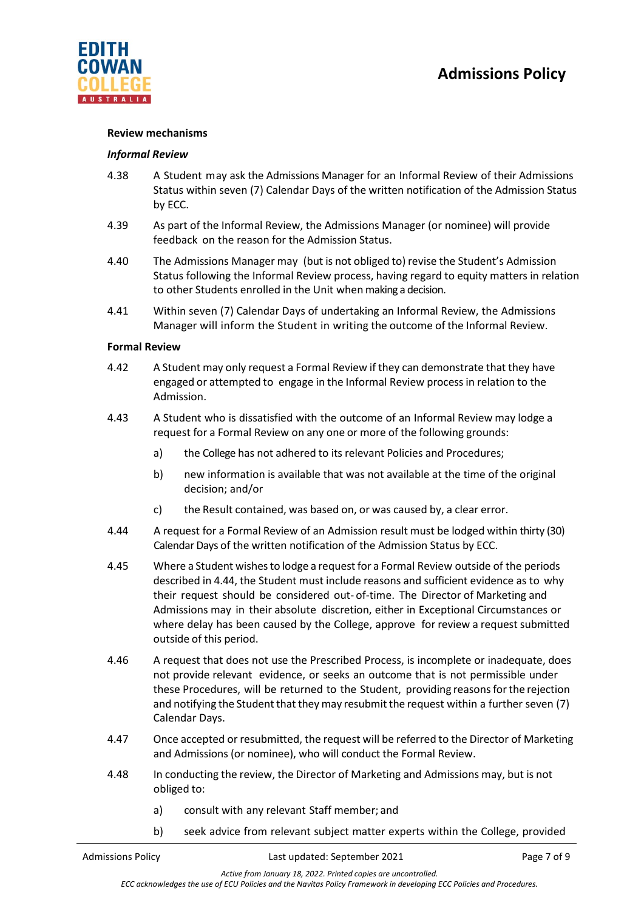

#### **Review mechanisms**

### *Informal Review*

- 4.38 A Student may ask the Admissions Manager for an Informal Review of their Admissions Status within seven (7) Calendar Days of the written notification of the Admission Status by ECC.
- 4.39 As part of the Informal Review, the Admissions Manager (or nominee) will provide feedback on the reason for the Admission Status.
- 4.40 The Admissions Manager may (but is not obliged to) revise the Student's Admission Status following the Informal Review process, having regard to equity matters in relation to other Students enrolled in the Unit when making a decision.
- 4.41 Within seven (7) Calendar Days of undertaking an Informal Review, the Admissions Manager will inform the Student in writing the outcome of the Informal Review.

#### **Formal Review**

- 4.42 A Student may only request a Formal Review if they can demonstrate that they have engaged or attempted to engage in the Informal Review process in relation to the Admission.
- 4.43 A Student who is dissatisfied with the outcome of an Informal Review may lodge a request for a Formal Review on any one or more of the following grounds:
	- a) the College has not adhered to its relevant Policies and Procedures;
	- b) new information is available that was not available at the time of the original decision; and/or
	- c) the Result contained, was based on, or was caused by, a clear error.
- 4.44 A request for a Formal Review of an Admission result must be lodged within thirty (30) Calendar Days of the written notification of the Admission Status by ECC.
- 4.45 Where a Student wishesto lodge a request for a Formal Review outside of the periods described in 4.44, the Student must include reasons and sufficient evidence as to why their request should be considered out- of-time. The Director of Marketing and Admissions may in their absolute discretion, either in Exceptional Circumstances or where delay has been caused by the College, approve for review a request submitted outside of this period.
- 4.46 A request that does not use the Prescribed Process, is incomplete or inadequate, does not provide relevant evidence, or seeks an outcome that is not permissible under these Procedures, will be returned to the Student, providing reasonsforthe rejection and notifying the Student that they may resubmit the request within a further seven (7) Calendar Days.
- 4.47 Once accepted or resubmitted, the request will be referred to the Director of Marketing and Admissions (or nominee), who will conduct the Formal Review.
- 4.48 In conducting the review, the Director of Marketing and Admissions may, but is not obliged to:
	- a) consult with any relevant Staff member; and
	- b) seek advice from relevant subject matter experts within the College, provided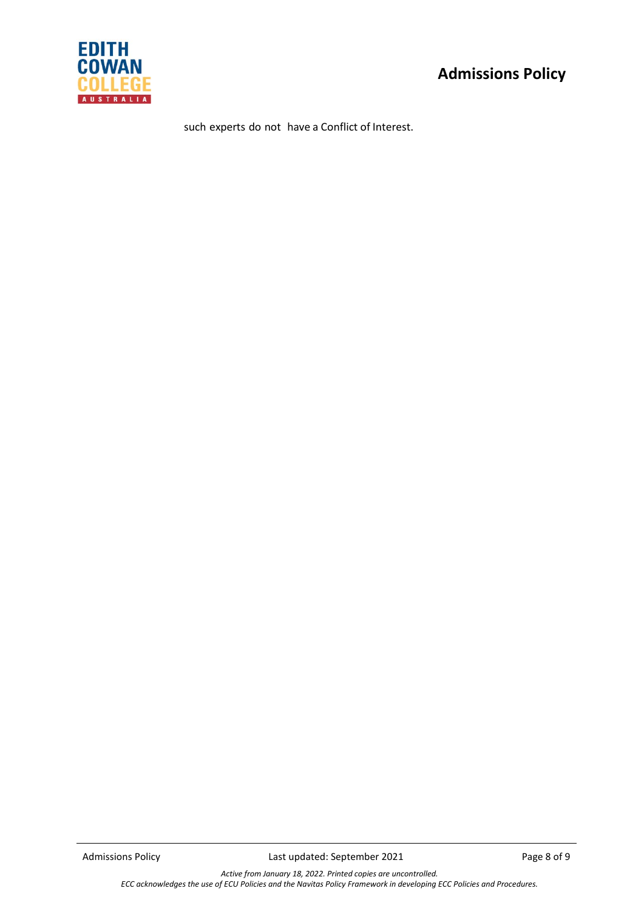

such experts do not have a Conflict of Interest.

*Active from January 18, 2022. Printed copies are uncontrolled. ECC acknowledges the use of ECU Policies and the Navitas Policy Framework in developing ECC Policies and Procedures.*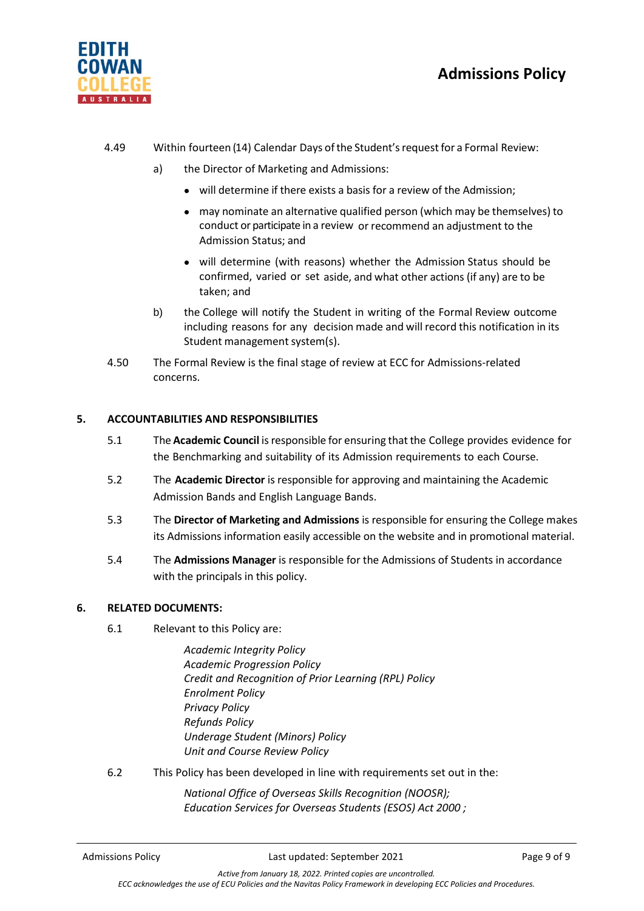

- 4.49 Within fourteen (14) Calendar Days ofthe Student'srequestfor a Formal Review:
	- a) the Director of Marketing and Admissions:
		- will determine if there exists a basis for a review of the Admission;
		- may nominate an alternative qualified person (which may be themselves) to conduct or participate in a review or recommend an adjustment to the Admission Status; and
		- will determine (with reasons) whether the Admission Status should be confirmed, varied or set aside, and what other actions (if any) are to be taken; and
	- b) the College will notify the Student in writing of the Formal Review outcome including reasons for any decision made and will record this notification in its Student management system(s).
	- 4.50 The Formal Review is the final stage of review at ECC for Admissions-related concerns.

# **5. ACCOUNTABILITIES AND RESPONSIBILITIES**

- 5.1 The **Academic Council** isresponsible for ensuring that the College provides evidence for the Benchmarking and suitability of its Admission requirements to each Course.
- 5.2 The **Academic Director** is responsible for approving and maintaining the Academic Admission Bands and English Language Bands.
- 5.3 The **Director of Marketing and Admissions** is responsible for ensuring the College makes its Admissions information easily accessible on the website and in promotional material.
- 5.4 The **Admissions Manager** is responsible for the Admissions of Students in accordance with the principals in this policy.

# **6. RELATED DOCUMENTS:**

- 6.1 Relevant to this Policy are:
	- *Academic Integrity Policy Academic Progression Policy Credit and Recognition of Prior Learning (RPL) Policy Enrolment Policy Privacy Policy Refunds Policy Underage Student (Minors) Policy Unit and Course Review Policy*
- 6.2 This Policy has been developed in line with requirements set out in the:

*National Office of Overseas Skills Recognition (NOOSR); Education Services for Overseas Students (ESOS) Act 2000 ;*